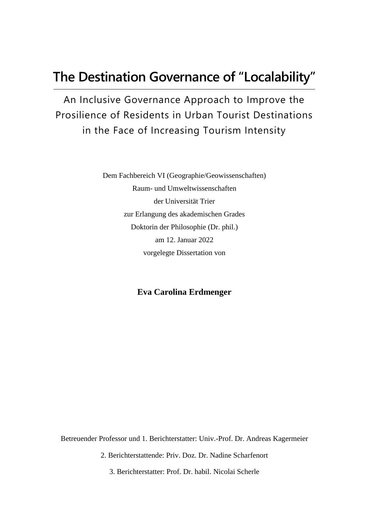# **The Destination Governance of "Localability"**

An Inclusive Governance Approach to Improve the Prosilience of Residents in Urban Tourist Destinations in the Face of Increasing Tourism Intensity

> Dem Fachbereich VI (Geographie/Geowissenschaften) Raum- und Umweltwissenschaften der Universität Trier zur Erlangung des akademischen Grades Doktorin der Philosophie (Dr. phil.) am 12. Januar 2022 vorgelegte Dissertation von

#### **Eva Carolina Erdmenger**

Betreuender Professor und 1. Berichterstatter: Univ.-Prof. Dr. Andreas Kagermeier

2. Berichterstattende: Priv. Doz. Dr. Nadine Scharfenort

3. Berichterstatter: Prof. Dr. habil. Nicolai Scherle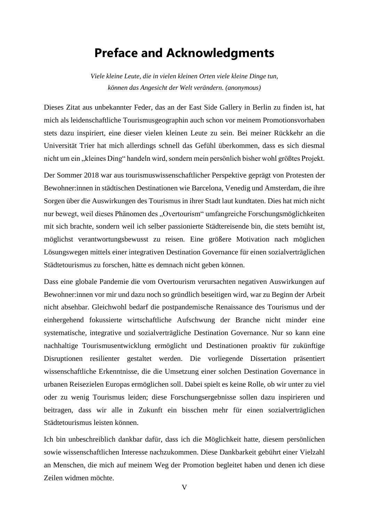### **Preface and Acknowledgments**

*Viele kleine Leute, die in vielen kleinen Orten viele kleine Dinge tun, können das Angesicht der Welt verändern. (anonymous)*

Dieses Zitat aus unbekannter Feder, das an der East Side Gallery in Berlin zu finden ist, hat mich als leidenschaftliche Tourismusgeographin auch schon vor meinem Promotionsvorhaben stets dazu inspiriert, eine dieser vielen kleinen Leute zu sein. Bei meiner Rückkehr an die Universität Trier hat mich allerdings schnell das Gefühl überkommen, dass es sich diesmal nicht um ein "kleines Ding" handeln wird, sondern mein persönlich bisher wohl größtes Projekt.

Der Sommer 2018 war aus tourismuswissenschaftlicher Perspektive geprägt von Protesten der Bewohner:innen in städtischen Destinationen wie Barcelona, Venedig und Amsterdam, die ihre Sorgen über die Auswirkungen des Tourismus in ihrer Stadt laut kundtaten. Dies hat mich nicht nur bewegt, weil dieses Phänomen des "Overtourism" umfangreiche Forschungsmöglichkeiten mit sich brachte, sondern weil ich selber passionierte Städtereisende bin, die stets bemüht ist, möglichst verantwortungsbewusst zu reisen. Eine größere Motivation nach möglichen Lösungswegen mittels einer integrativen Destination Governance für einen sozialverträglichen Städtetourismus zu forschen, hätte es demnach nicht geben können.

Dass eine globale Pandemie die vom Overtourism verursachten negativen Auswirkungen auf Bewohner:innen vor mir und dazu noch so gründlich beseitigen wird, war zu Beginn der Arbeit nicht absehbar. Gleichwohl bedarf die postpandemische Renaissance des Tourismus und der einhergehend fokussierte wirtschaftliche Aufschwung der Branche nicht minder eine systematische, integrative und sozialverträgliche Destination Governance. Nur so kann eine nachhaltige Tourismusentwicklung ermöglicht und Destinationen proaktiv für zukünftige Disruptionen resilienter gestaltet werden. Die vorliegende Dissertation präsentiert wissenschaftliche Erkenntnisse, die die Umsetzung einer solchen Destination Governance in urbanen Reisezielen Europas ermöglichen soll. Dabei spielt es keine Rolle, ob wir unter zu viel oder zu wenig Tourismus leiden; diese Forschungsergebnisse sollen dazu inspirieren und beitragen, dass wir alle in Zukunft ein bisschen mehr für einen sozialverträglichen Städtetourismus leisten können.

Ich bin unbeschreiblich dankbar dafür, dass ich die Möglichkeit hatte, diesem persönlichen sowie wissenschaftlichen Interesse nachzukommen. Diese Dankbarkeit gebührt einer Vielzahl an Menschen, die mich auf meinem Weg der Promotion begleitet haben und denen ich diese Zeilen widmen möchte.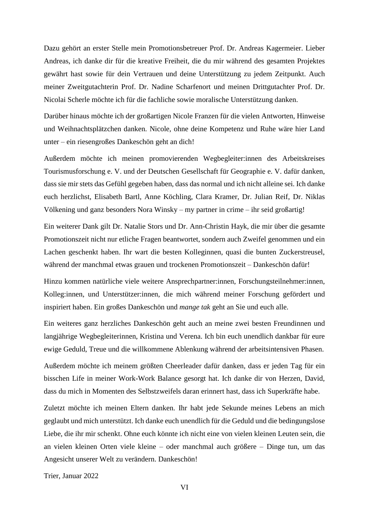Dazu gehört an erster Stelle mein Promotionsbetreuer Prof. Dr. Andreas Kagermeier. Lieber Andreas, ich danke dir für die kreative Freiheit, die du mir während des gesamten Projektes gewährt hast sowie für dein Vertrauen und deine Unterstützung zu jedem Zeitpunkt. Auch meiner Zweitgutachterin Prof. Dr. Nadine Scharfenort und meinen Drittgutachter Prof. Dr. Nicolai Scherle möchte ich für die fachliche sowie moralische Unterstützung danken.

Darüber hinaus möchte ich der großartigen Nicole Franzen für die vielen Antworten, Hinweise und Weihnachtsplätzchen danken. Nicole, ohne deine Kompetenz und Ruhe wäre hier Land unter – ein riesengroßes Dankeschön geht an dich!

Außerdem möchte ich meinen promovierenden Wegbegleiter:innen des Arbeitskreises Tourismusforschung e. V. und der Deutschen Gesellschaft für Geographie e. V. dafür danken, dass sie mir stets das Gefühl gegeben haben, dass das normal und ich nicht alleine sei. Ich danke euch herzlichst, Elisabeth Bartl, Anne Köchling, Clara Kramer, Dr. Julian Reif, Dr. Niklas Völkening und ganz besonders Nora Winsky – my partner in crime – ihr seid großartig!

Ein weiterer Dank gilt Dr. Natalie Stors und Dr. Ann-Christin Hayk, die mir über die gesamte Promotionszeit nicht nur etliche Fragen beantwortet, sondern auch Zweifel genommen und ein Lachen geschenkt haben. Ihr wart die besten Kolleginnen, quasi die bunten Zuckerstreusel, während der manchmal etwas grauen und trockenen Promotionszeit – Dankeschön dafür!

Hinzu kommen natürliche viele weitere Ansprechpartner:innen, Forschungsteilnehmer:innen, Kolleg:innen, und Unterstützer:innen, die mich während meiner Forschung gefördert und inspiriert haben. Ein großes Dankeschön und *mange tak* geht an Sie und euch alle.

Ein weiteres ganz herzliches Dankeschön geht auch an meine zwei besten Freundinnen und langjährige Wegbegleiterinnen, Kristina und Verena. Ich bin euch unendlich dankbar für eure ewige Geduld, Treue und die willkommene Ablenkung während der arbeitsintensiven Phasen.

Außerdem möchte ich meinem größten Cheerleader dafür danken, dass er jeden Tag für ein bisschen Life in meiner Work-Work Balance gesorgt hat. Ich danke dir von Herzen, David, dass du mich in Momenten des Selbstzweifels daran erinnert hast, dass ich Superkräfte habe.

Zuletzt möchte ich meinen Eltern danken. Ihr habt jede Sekunde meines Lebens an mich geglaubt und mich unterstützt. Ich danke euch unendlich für die Geduld und die bedingungslose Liebe, die ihr mir schenkt. Ohne euch könnte ich nicht eine von vielen kleinen Leuten sein, die an vielen kleinen Orten viele kleine – oder manchmal auch größere – Dinge tun, um das Angesicht unserer Welt zu verändern. Dankeschön!

Trier, Januar 2022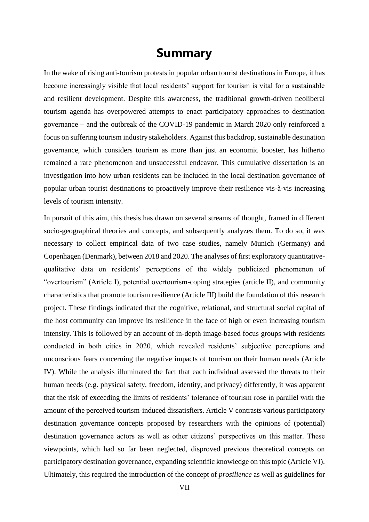#### **Summary**

In the wake of rising anti-tourism protests in popular urban tourist destinations in Europe, it has become increasingly visible that local residents' support for tourism is vital for a sustainable and resilient development. Despite this awareness, the traditional growth-driven neoliberal tourism agenda has overpowered attempts to enact participatory approaches to destination governance – and the outbreak of the COVID-19 pandemic in March 2020 only reinforced a focus on suffering tourism industry stakeholders. Against this backdrop, sustainable destination governance, which considers tourism as more than just an economic booster, has hitherto remained a rare phenomenon and unsuccessful endeavor. This cumulative dissertation is an investigation into how urban residents can be included in the local destination governance of popular urban tourist destinations to proactively improve their resilience vis-à-vis increasing levels of tourism intensity.

In pursuit of this aim, this thesis has drawn on several streams of thought, framed in different socio-geographical theories and concepts, and subsequently analyzes them. To do so, it was necessary to collect empirical data of two case studies, namely Munich (Germany) and Copenhagen (Denmark), between 2018 and 2020. The analyses of first exploratory quantitativequalitative data on residents' perceptions of the widely publicized phenomenon of "overtourism" (Article I), potential overtourism-coping strategies (article II), and community characteristics that promote tourism resilience (Article III) build the foundation of this research project. These findings indicated that the cognitive, relational, and structural social capital of the host community can improve its resilience in the face of high or even increasing tourism intensity. This is followed by an account of in-depth image-based focus groups with residents conducted in both cities in 2020, which revealed residents' subjective perceptions and unconscious fears concerning the negative impacts of tourism on their human needs (Article IV). While the analysis illuminated the fact that each individual assessed the threats to their human needs (e.g. physical safety, freedom, identity, and privacy) differently, it was apparent that the risk of exceeding the limits of residents' tolerance of tourism rose in parallel with the amount of the perceived tourism-induced dissatisfiers. Article V contrasts various participatory destination governance concepts proposed by researchers with the opinions of (potential) destination governance actors as well as other citizens' perspectives on this matter. These viewpoints, which had so far been neglected, disproved previous theoretical concepts on participatory destination governance, expanding scientific knowledge on this topic (Article VI). Ultimately, this required the introduction of the concept of *prosilience* as well as guidelines for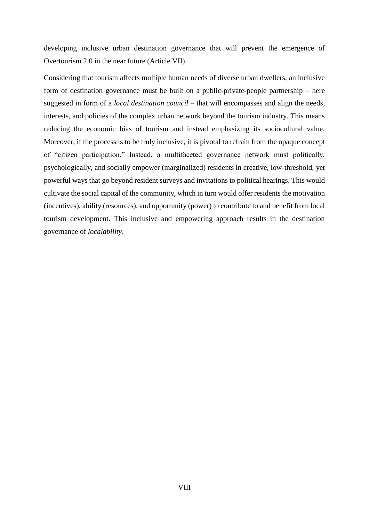developing inclusive urban destination governance that will prevent the emergence of Overtourism 2.0 in the near future (Article VII).

Considering that tourism affects multiple human needs of diverse urban dwellers, an inclusive form of destination governance must be built on a public-private-people partnership – here suggested in form of a *local destination council –* that will encompasses and align the needs, interests, and policies of the complex urban network beyond the tourism industry. This means reducing the economic bias of tourism and instead emphasizing its sociocultural value. Moreover, if the process is to be truly inclusive, it is pivotal to refrain from the opaque concept of "citizen participation." Instead, a multifaceted governance network must politically, psychologically, and socially empower (marginalized) residents in creative, low-threshold, yet powerful ways that go beyond resident surveys and invitations to political hearings. This would cultivate the social capital of the community, which in turn would offer residents the motivation (incentives), ability (resources), and opportunity (power) to contribute to and benefit from local tourism development. This inclusive and empowering approach results in the destination governance of *localability*.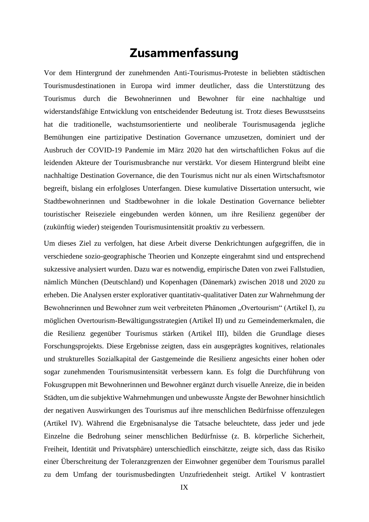## **Zusammenfassung**

Vor dem Hintergrund der zunehmenden Anti-Tourismus-Proteste in beliebten städtischen Tourismusdestinationen in Europa wird immer deutlicher, dass die Unterstützung des Tourismus durch die Bewohnerinnen und Bewohner für eine nachhaltige und widerstandsfähige Entwicklung von entscheidender Bedeutung ist. Trotz dieses Bewusstseins hat die traditionelle, wachstumsorientierte und neoliberale Tourismusagenda jegliche Bemühungen eine partizipative Destination Governance umzusetzen, dominiert und der Ausbruch der COVID-19 Pandemie im März 2020 hat den wirtschaftlichen Fokus auf die leidenden Akteure der Tourismusbranche nur verstärkt. Vor diesem Hintergrund bleibt eine nachhaltige Destination Governance, die den Tourismus nicht nur als einen Wirtschaftsmotor begreift, bislang ein erfolgloses Unterfangen. Diese kumulative Dissertation untersucht, wie Stadtbewohnerinnen und Stadtbewohner in die lokale Destination Governance beliebter touristischer Reiseziele eingebunden werden können, um ihre Resilienz gegenüber der (zukünftig wieder) steigenden Tourismusintensität proaktiv zu verbessern.

Um dieses Ziel zu verfolgen, hat diese Arbeit diverse Denkrichtungen aufgegriffen, die in verschiedene sozio-geographische Theorien und Konzepte eingerahmt sind und entsprechend sukzessive analysiert wurden. Dazu war es notwendig, empirische Daten von zwei Fallstudien, nämlich München (Deutschland) und Kopenhagen (Dänemark) zwischen 2018 und 2020 zu erheben. Die Analysen erster explorativer quantitativ-qualitativer Daten zur Wahrnehmung der Bewohnerinnen und Bewohner zum weit verbreiteten Phänomen "Overtourism" (Artikel I), zu möglichen Overtourism-Bewältigungsstrategien (Artikel II) und zu Gemeindemerkmalen, die die Resilienz gegenüber Tourismus stärken (Artikel III), bilden die Grundlage dieses Forschungsprojekts. Diese Ergebnisse zeigten, dass ein ausgeprägtes kognitives, relationales und strukturelles Sozialkapital der Gastgemeinde die Resilienz angesichts einer hohen oder sogar zunehmenden Tourismusintensität verbessern kann. Es folgt die Durchführung von Fokusgruppen mit Bewohnerinnen und Bewohner ergänzt durch visuelle Anreize, die in beiden Städten, um die subjektive Wahrnehmungen und unbewusste Ängste der Bewohner hinsichtlich der negativen Auswirkungen des Tourismus auf ihre menschlichen Bedürfnisse offenzulegen (Artikel IV). Während die Ergebnisanalyse die Tatsache beleuchtete, dass jeder und jede Einzelne die Bedrohung seiner menschlichen Bedürfnisse (z. B. körperliche Sicherheit, Freiheit, Identität und Privatsphäre) unterschiedlich einschätzte, zeigte sich, dass das Risiko einer Überschreitung der Toleranzgrenzen der Einwohner gegenüber dem Tourismus parallel zu dem Umfang der tourismusbedingten Unzufriedenheit steigt. Artikel V kontrastiert